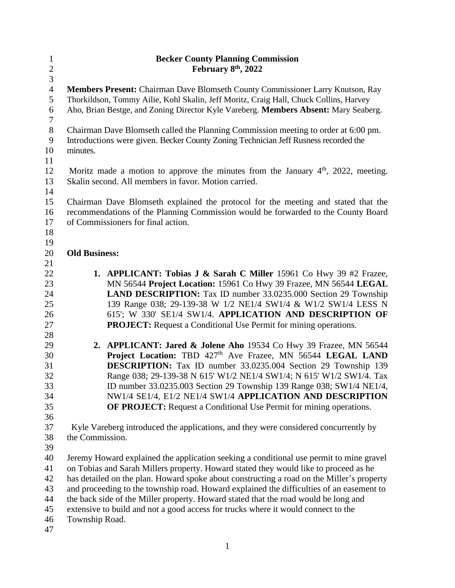| $\mathbf{1}$   | <b>Becker County Planning Commission</b>                                                  |  |
|----------------|-------------------------------------------------------------------------------------------|--|
| $\frac{2}{3}$  | February 8 <sup>th</sup> , 2022                                                           |  |
|                |                                                                                           |  |
| $\overline{4}$ | Members Present: Chairman Dave Blomseth County Commissioner Larry Knutson, Ray            |  |
| 5              | Thorkildson, Tommy Ailie, Kohl Skalin, Jeff Moritz, Craig Hall, Chuck Collins, Harvey     |  |
| 6              | Aho, Brian Bestge, and Zoning Director Kyle Vareberg. Members Absent: Mary Seaberg.       |  |
| $\tau$         |                                                                                           |  |
| $8\,$          | Chairman Dave Blomseth called the Planning Commission meeting to order at 6:00 pm.        |  |
| 9              | Introductions were given. Becker County Zoning Technician Jeff Rusness recorded the       |  |
| 10             | minutes.                                                                                  |  |
| 11             |                                                                                           |  |
| 12             | Moritz made a motion to approve the minutes from the January $4th$ , 2022, meeting.       |  |
| 13             | Skalin second. All members in favor. Motion carried.                                      |  |
| 14             |                                                                                           |  |
| 15             | Chairman Dave Blomseth explained the protocol for the meeting and stated that the         |  |
| 16             | recommendations of the Planning Commission would be forwarded to the County Board         |  |
| 17             | of Commissioners for final action.                                                        |  |
| 18             |                                                                                           |  |
| 19             |                                                                                           |  |
| 20             | <b>Old Business:</b>                                                                      |  |
| 21             |                                                                                           |  |
| 22             | 1. APPLICANT: Tobias J & Sarah C Miller 15961 Co Hwy 39 #2 Frazee,                        |  |
| 23             | MN 56544 Project Location: 15961 Co Hwy 39 Frazee, MN 56544 LEGAL                         |  |
| 24             | <b>LAND DESCRIPTION:</b> Tax ID number 33.0235.000 Section 29 Township                    |  |
| 25             | 139 Range 038; 29-139-38 W 1/2 NE1/4 SW1/4 & W1/2 SW1/4 LESS N                            |  |
| 26             | 615'; W 330' SE1/4 SW1/4. APPLICATION AND DESCRIPTION OF                                  |  |
| 27             | <b>PROJECT:</b> Request a Conditional Use Permit for mining operations.                   |  |
| 28             |                                                                                           |  |
| 29             | 2. APPLICANT: Jared & Jolene Aho 19534 Co Hwy 39 Frazee, MN 56544                         |  |
| 30             | Project Location: TBD 427 <sup>th</sup> Ave Frazee, MN 56544 LEGAL LAND                   |  |
| 31             | <b>DESCRIPTION:</b> Tax ID number 33.0235.004 Section 29 Township 139                     |  |
| 32             | Range 038; 29-139-38 N 615' W1/2 NE1/4 SW1/4; N 615' W1/2 SW1/4. Tax                      |  |
| 33             | ID number 33.0235.003 Section 29 Township 139 Range 038; SW1/4 NE1/4,                     |  |
| 34             | NW1/4 SE1/4, E1/2 NE1/4 SW1/4 APPLICATION AND DESCRIPTION                                 |  |
| 35             | OF PROJECT: Request a Conditional Use Permit for mining operations.                       |  |
| 36             |                                                                                           |  |
| 37             | Kyle Vareberg introduced the applications, and they were considered concurrently by       |  |
| 38             | the Commission.                                                                           |  |
| 39             |                                                                                           |  |
| 40             | Jeremy Howard explained the application seeking a conditional use permit to mine gravel   |  |
| 41             | on Tobias and Sarah Millers property. Howard stated they would like to proceed as he      |  |
| 42             | has detailed on the plan. Howard spoke about constructing a road on the Miller's property |  |
| 43             | and proceeding to the township road. Howard explained the difficulties of an easement to  |  |
| 44             | the back side of the Miller property. Howard stated that the road would be long and       |  |
| 45             | extensive to build and not a good access for trucks where it would connect to the         |  |
| 46             | Township Road.                                                                            |  |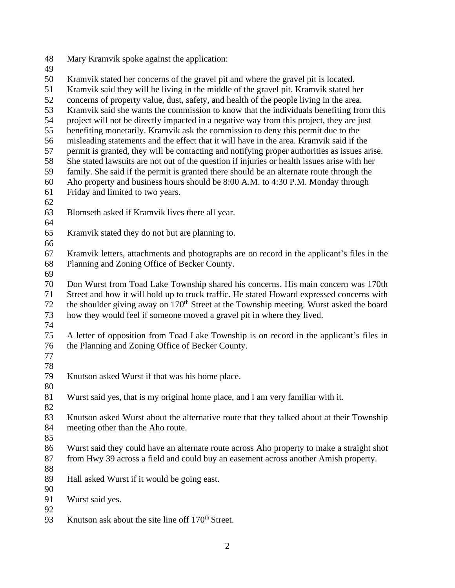Mary Kramvik spoke against the application: Kramvik stated her concerns of the gravel pit and where the gravel pit is located. Kramvik said they will be living in the middle of the gravel pit. Kramvik stated her concerns of property value, dust, safety, and health of the people living in the area. Kramvik said she wants the commission to know that the individuals benefiting from this project will not be directly impacted in a negative way from this project, they are just benefiting monetarily. Kramvik ask the commission to deny this permit due to the misleading statements and the effect that it will have in the area. Kramvik said if the permit is granted, they will be contacting and notifying proper authorities as issues arise. She stated lawsuits are not out of the question if injuries or health issues arise with her family. She said if the permit is granted there should be an alternate route through the Aho property and business hours should be 8:00 A.M. to 4:30 P.M. Monday through Friday and limited to two years. Blomseth asked if Kramvik lives there all year. Kramvik stated they do not but are planning to. Kramvik letters, attachments and photographs are on record in the applicant's files in the Planning and Zoning Office of Becker County. Don Wurst from Toad Lake Township shared his concerns. His main concern was 170th Street and how it will hold up to truck traffic. He stated Howard expressed concerns with 72 the shoulder giving away on 170<sup>th</sup> Street at the Township meeting. Wurst asked the board how they would feel if someone moved a gravel pit in where they lived. A letter of opposition from Toad Lake Township is on record in the applicant's files in the Planning and Zoning Office of Becker County. Knutson asked Wurst if that was his home place. Wurst said yes, that is my original home place, and I am very familiar with it. Knutson asked Wurst about the alternative route that they talked about at their Township meeting other than the Aho route. Wurst said they could have an alternate route across Aho property to make a straight shot from Hwy 39 across a field and could buy an easement across another Amish property. Hall asked Wurst if it would be going east. Wurst said yes. 93 Knutson ask about the site line off 170<sup>th</sup> Street.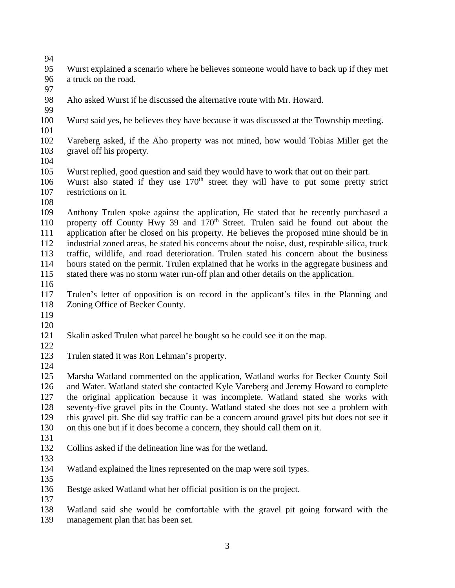- 
- Wurst explained a scenario where he believes someone would have to back up if they met a truck on the road.
- 
- Aho asked Wurst if he discussed the alternative route with Mr. Howard.
- 
- Wurst said yes, he believes they have because it was discussed at the Township meeting.
- 
- Vareberg asked, if the Aho property was not mined, how would Tobias Miller get the gravel off his property.
- 
- Wurst replied, good question and said they would have to work that out on their part.
- 106 Wurst also stated if they use 170<sup>th</sup> street they will have to put some pretty strict restrictions on it.
- 

 Anthony Trulen spoke against the application, He stated that he recently purchased a 110 property off County Hwy 39 and 170<sup>th</sup> Street. Trulen said he found out about the application after he closed on his property. He believes the proposed mine should be in industrial zoned areas, he stated his concerns about the noise, dust, respirable silica, truck traffic, wildlife, and road deterioration. Trulen stated his concern about the business hours stated on the permit. Trulen explained that he works in the aggregate business and stated there was no storm water run-off plan and other details on the application.

- 
- Trulen's letter of opposition is on record in the applicant's files in the Planning and Zoning Office of Becker County.
- 
- 
- Skalin asked Trulen what parcel he bought so he could see it on the map.
- 
- Trulen stated it was Ron Lehman's property.
- 

 Marsha Watland commented on the application, Watland works for Becker County Soil and Water. Watland stated she contacted Kyle Vareberg and Jeremy Howard to complete the original application because it was incomplete. Watland stated she works with seventy-five gravel pits in the County. Watland stated she does not see a problem with this gravel pit. She did say traffic can be a concern around gravel pits but does not see it on this one but if it does become a concern, they should call them on it.

- 
- Collins asked if the delineation line was for the wetland.
- 
- Watland explained the lines represented on the map were soil types.
- 

- Bestge asked Watland what her official position is on the project.
- Watland said she would be comfortable with the gravel pit going forward with the management plan that has been set.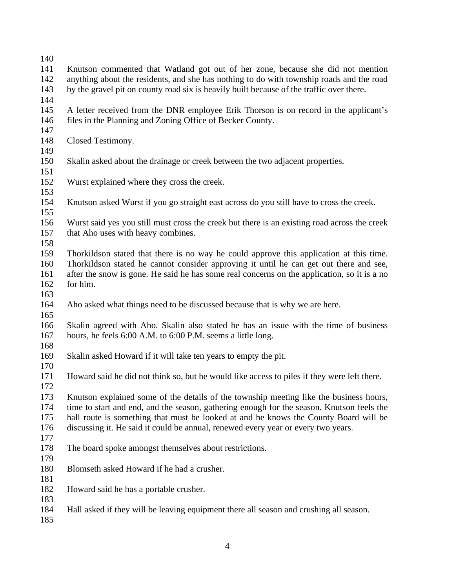- 
- Knutson commented that Watland got out of her zone, because she did not mention anything about the residents, and she has nothing to do with township roads and the road by the gravel pit on county road six is heavily built because of the traffic over there.
- 
- A letter received from the DNR employee Erik Thorson is on record in the applicant's files in the Planning and Zoning Office of Becker County.
- 
- Closed Testimony.
- 
- Skalin asked about the drainage or creek between the two adjacent properties.
- Wurst explained where they cross the creek.
- 
- Knutson asked Wurst if you go straight east across do you still have to cross the creek.
- Wurst said yes you still must cross the creek but there is an existing road across the creek 157 that Aho uses with heavy combines.
- 
- Thorkildson stated that there is no way he could approve this application at this time. Thorkildson stated he cannot consider approving it until he can get out there and see, after the snow is gone. He said he has some real concerns on the application, so it is a no for him.
- 

- Aho asked what things need to be discussed because that is why we are here.
- Skalin agreed with Aho. Skalin also stated he has an issue with the time of business hours, he feels 6:00 A.M. to 6:00 P.M. seems a little long.
- 
- Skalin asked Howard if it will take ten years to empty the pit.
- Howard said he did not think so, but he would like access to piles if they were left there.
- Knutson explained some of the details of the township meeting like the business hours, time to start and end, and the season, gathering enough for the season. Knutson feels the hall route is something that must be looked at and he knows the County Board will be discussing it. He said it could be annual, renewed every year or every two years.
- The board spoke amongst themselves about restrictions.
- 

- Blomseth asked Howard if he had a crusher.
- 
- Howard said he has a portable crusher.
- Hall asked if they will be leaving equipment there all season and crushing all season.
-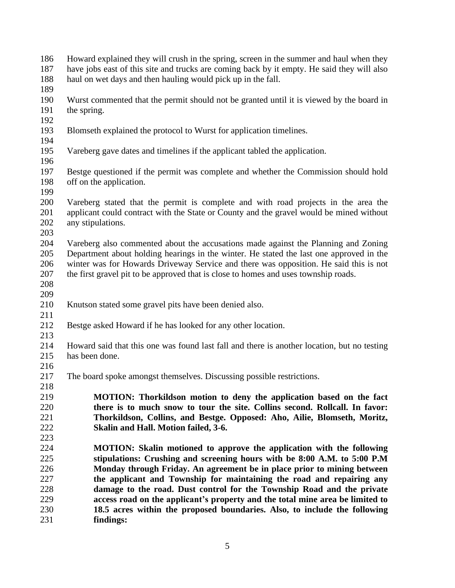- Howard explained they will crush in the spring, screen in the summer and haul when they have jobs east of this site and trucks are coming back by it empty. He said they will also haul on wet days and then hauling would pick up in the fall. Wurst commented that the permit should not be granted until it is viewed by the board in
- the spring.
- 
- Blomseth explained the protocol to Wurst for application timelines.
- 
- Vareberg gave dates and timelines if the applicant tabled the application.
- Bestge questioned if the permit was complete and whether the Commission should hold off on the application.
- 
- Vareberg stated that the permit is complete and with road projects in the area the 201 applicant could contract with the State or County and the gravel would be mined without any stipulations. any stipulations.
- 

 Vareberg also commented about the accusations made against the Planning and Zoning Department about holding hearings in the winter. He stated the last one approved in the winter was for Howards Driveway Service and there was opposition. He said this is not the first gravel pit to be approved that is close to homes and uses township roads.

- 
- 
- Knutson stated some gravel pits have been denied also.
- Bestge asked Howard if he has looked for any other location.
- 

 Howard said that this one was found last fall and there is another location, but no testing has been done.

- The board spoke amongst themselves. Discussing possible restrictions.
- **MOTION: Thorkildson motion to deny the application based on the fact there is to much snow to tour the site. Collins second. Rollcall. In favor: Thorkildson, Collins, and Bestge. Opposed: Aho, Ailie, Blomseth, Moritz, Skalin and Hall. Motion failed, 3-6.**
- **MOTION: Skalin motioned to approve the application with the following stipulations: Crushing and screening hours with be 8:00 A.M. to 5:00 P.M Monday through Friday. An agreement be in place prior to mining between the applicant and Township for maintaining the road and repairing any damage to the road. Dust control for the Township Road and the private access road on the applicant's property and the total mine area be limited to 18.5 acres within the proposed boundaries. Also, to include the following findings:**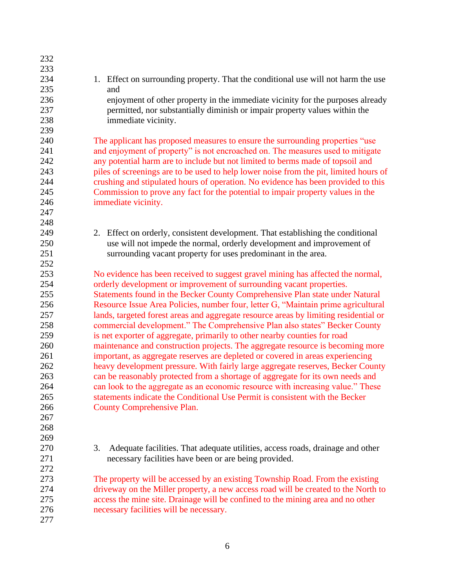| 232 |                                                                                       |
|-----|---------------------------------------------------------------------------------------|
| 233 |                                                                                       |
| 234 | 1. Effect on surrounding property. That the conditional use will not harm the use     |
| 235 | and                                                                                   |
| 236 | enjoyment of other property in the immediate vicinity for the purposes already        |
| 237 | permitted, nor substantially diminish or impair property values within the            |
| 238 | immediate vicinity.                                                                   |
| 239 |                                                                                       |
| 240 | The applicant has proposed measures to ensure the surrounding properties "use"        |
| 241 | and enjoyment of property" is not encroached on. The measures used to mitigate        |
| 242 | any potential harm are to include but not limited to berms made of topsoil and        |
| 243 | piles of screenings are to be used to help lower noise from the pit, limited hours of |
| 244 | crushing and stipulated hours of operation. No evidence has been provided to this     |
| 245 | Commission to prove any fact for the potential to impair property values in the       |
| 246 | immediate vicinity.                                                                   |
| 247 |                                                                                       |
| 248 |                                                                                       |
| 249 | 2. Effect on orderly, consistent development. That establishing the conditional       |
| 250 | use will not impede the normal, orderly development and improvement of                |
| 251 | surrounding vacant property for uses predominant in the area.                         |
| 252 |                                                                                       |
| 253 | No evidence has been received to suggest gravel mining has affected the normal,       |
| 254 | orderly development or improvement of surrounding vacant properties.                  |
| 255 | Statements found in the Becker County Comprehensive Plan state under Natural          |
| 256 | Resource Issue Area Policies, number four, letter G, "Maintain prime agricultural     |
| 257 | lands, targeted forest areas and aggregate resource areas by limiting residential or  |
| 258 | commercial development." The Comprehensive Plan also states" Becker County            |
| 259 | is net exporter of aggregate, primarily to other nearby counties for road             |
| 260 | maintenance and construction projects. The aggregate resource is becoming more        |
| 261 | important, as aggregate reserves are depleted or covered in areas experiencing        |
| 262 | heavy development pressure. With fairly large aggregate reserves, Becker County       |
| 263 | can be reasonably protected from a shortage of aggregate for its own needs and        |
| 264 | can look to the aggregate as an economic resource with increasing value." These       |
| 265 | statements indicate the Conditional Use Permit is consistent with the Becker          |
| 266 | <b>County Comprehensive Plan.</b>                                                     |
| 267 |                                                                                       |
| 268 |                                                                                       |
| 269 |                                                                                       |
| 270 | Adequate facilities. That adequate utilities, access roads, drainage and other<br>3.  |
| 271 | necessary facilities have been or are being provided.                                 |
| 272 |                                                                                       |
| 273 | The property will be accessed by an existing Township Road. From the existing         |
| 274 | driveway on the Miller property, a new access road will be created to the North to    |
| 275 | access the mine site. Drainage will be confined to the mining area and no other       |
| 276 | necessary facilities will be necessary.                                               |
| 277 |                                                                                       |
|     |                                                                                       |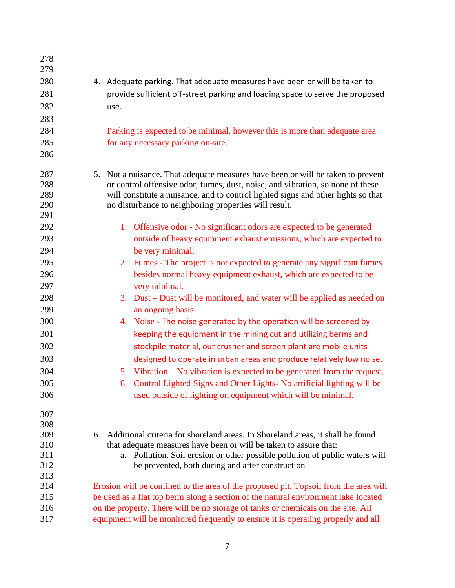| 278<br>279 |                                                                                      |  |  |
|------------|--------------------------------------------------------------------------------------|--|--|
| 280        | 4. Adequate parking. That adequate measures have been or will be taken to            |  |  |
| 281        | provide sufficient off-street parking and loading space to serve the proposed        |  |  |
| 282        | use.                                                                                 |  |  |
| 283        |                                                                                      |  |  |
| 284        | Parking is expected to be minimal, however this is more than adequate area           |  |  |
| 285        | for any necessary parking on-site.                                                   |  |  |
| 286        |                                                                                      |  |  |
|            |                                                                                      |  |  |
| 287        | 5. Not a nuisance. That adequate measures have been or will be taken to prevent      |  |  |
| 288        | or control offensive odor, fumes, dust, noise, and vibration, so none of these       |  |  |
| 289        | will constitute a nuisance, and to control lighted signs and other lights so that    |  |  |
| 290        | no disturbance to neighboring properties will result.                                |  |  |
| 291        |                                                                                      |  |  |
| 292        | 1. Offensive odor - No significant odors are expected to be generated                |  |  |
| 293        | outside of heavy equipment exhaust emissions, which are expected to                  |  |  |
| 294        | be very minimal.                                                                     |  |  |
| 295        | 2. Fumes - The project is not expected to generate any significant fumes             |  |  |
| 296        | besides normal heavy equipment exhaust, which are expected to be                     |  |  |
| 297        | very minimal.                                                                        |  |  |
| 298        | 3. Dust – Dust will be monitored, and water will be applied as needed on             |  |  |
| 299        | an ongoing basis.                                                                    |  |  |
| 300        | 4. Noise - The noise generated by the operation will be screened by                  |  |  |
| 301        | keeping the equipment in the mining cut and utilizing berms and                      |  |  |
| 302        | stockpile material, our crusher and screen plant are mobile units                    |  |  |
| 303        | designed to operate in urban areas and produce relatively low noise.                 |  |  |
| 304        | 5. Vibration – No vibration is expected to be generated from the request.            |  |  |
| 305        | 6. Control Lighted Signs and Other Lights- No artificial lighting will be            |  |  |
| 306        | used outside of lighting on equipment which will be minimal.                         |  |  |
| 307        |                                                                                      |  |  |
| 308        |                                                                                      |  |  |
| 309        | Additional criteria for shoreland areas. In Shoreland areas, it shall be found<br>6. |  |  |
| 310        | that adequate measures have been or will be taken to assure that:                    |  |  |
| 311        | a. Pollution. Soil erosion or other possible pollution of public waters will         |  |  |
| 312        | be prevented, both during and after construction                                     |  |  |
| 313        |                                                                                      |  |  |
| 314        | Erosion will be confined to the area of the proposed pit. Topsoil from the area will |  |  |
| 315        | be used as a flat top berm along a section of the natural environment lake located   |  |  |
| 316        | on the property. There will be no storage of tanks or chemicals on the site. All     |  |  |
| 317        | equipment will be monitored frequently to ensure it is operating properly and all    |  |  |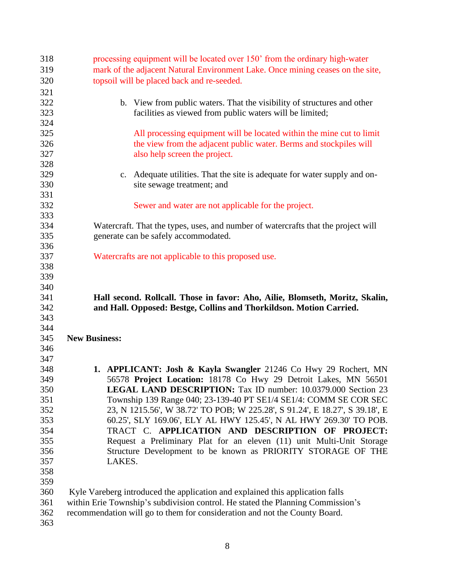| 318        | processing equipment will be located over 150' from the ordinary high-water             |  |
|------------|-----------------------------------------------------------------------------------------|--|
| 319        | mark of the adjacent Natural Environment Lake. Once mining ceases on the site,          |  |
| 320        | topsoil will be placed back and re-seeded.                                              |  |
| 321        |                                                                                         |  |
| 322        | b. View from public waters. That the visibility of structures and other                 |  |
| 323        | facilities as viewed from public waters will be limited;                                |  |
| 324        |                                                                                         |  |
| 325        | All processing equipment will be located within the mine cut to limit                   |  |
| 326        | the view from the adjacent public water. Berms and stockpiles will                      |  |
| 327        | also help screen the project.                                                           |  |
| 328        |                                                                                         |  |
| 329        | Adequate utilities. That the site is adequate for water supply and on-<br>$C_{\bullet}$ |  |
| 330        | site sewage treatment; and                                                              |  |
| 331        |                                                                                         |  |
| 332        | Sewer and water are not applicable for the project.                                     |  |
| 333        |                                                                                         |  |
| 334        | Watercraft. That the types, uses, and number of watercrafts that the project will       |  |
| 335        | generate can be safely accommodated.                                                    |  |
| 336        |                                                                                         |  |
| 337        | Watercrafts are not applicable to this proposed use.                                    |  |
| 338        |                                                                                         |  |
| 339        |                                                                                         |  |
| 340        |                                                                                         |  |
|            |                                                                                         |  |
|            |                                                                                         |  |
| 341        | Hall second. Rollcall. Those in favor: Aho, Ailie, Blomseth, Moritz, Skalin,            |  |
| 342        | and Hall. Opposed: Bestge, Collins and Thorkildson. Motion Carried.                     |  |
| 343        |                                                                                         |  |
| 344        |                                                                                         |  |
| 345        | <b>New Business:</b>                                                                    |  |
| 346        |                                                                                         |  |
| 347        |                                                                                         |  |
| 348        | 1. APPLICANT: Josh & Kayla Swangler 21246 Co Hwy 29 Rochert, MN                         |  |
| 349        | 56578 Project Location: 18178 Co Hwy 29 Detroit Lakes, MN 56501                         |  |
| 350        | LEGAL LAND DESCRIPTION: Tax ID number: 10.0379.000 Section 23                           |  |
| 351        | Township 139 Range 040; 23-139-40 PT SE1/4 SE1/4: COMM SE COR SEC                       |  |
| 352        | 23, N 1215.56', W 38.72' TO POB; W 225.28', S 91.24', E 18.27', S 39.18', E             |  |
| 353        | 60.25', SLY 169.06', ELY AL HWY 125.45', N AL HWY 269.30' TO POB.                       |  |
| 354        | TRACT C. APPLICATION AND DESCRIPTION OF PROJECT:                                        |  |
| 355        | Request a Preliminary Plat for an eleven (11) unit Multi-Unit Storage                   |  |
| 356        | Structure Development to be known as PRIORITY STORAGE OF THE                            |  |
| 357        | LAKES.                                                                                  |  |
| 358        |                                                                                         |  |
| 359        |                                                                                         |  |
| 360        | Kyle Vareberg introduced the application and explained this application falls           |  |
| 361        | within Erie Township's subdivision control. He stated the Planning Commission's         |  |
| 362<br>363 | recommendation will go to them for consideration and not the County Board.              |  |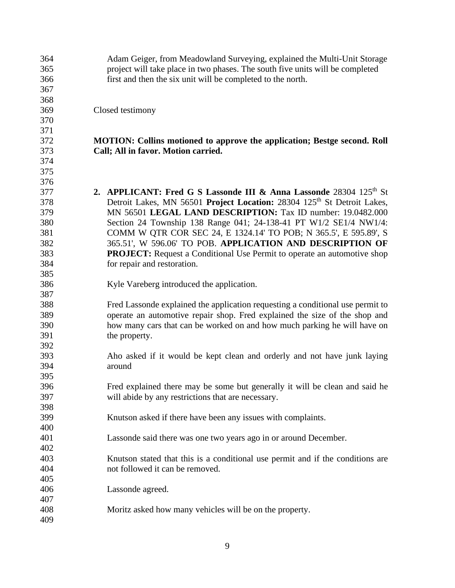| 364 | Adam Geiger, from Meadowland Surveying, explained the Multi-Unit Storage            |
|-----|-------------------------------------------------------------------------------------|
| 365 | project will take place in two phases. The south five units will be completed       |
| 366 | first and then the six unit will be completed to the north.                         |
| 367 |                                                                                     |
| 368 |                                                                                     |
| 369 | Closed testimony                                                                    |
| 370 |                                                                                     |
| 371 |                                                                                     |
| 372 | <b>MOTION:</b> Collins motioned to approve the application; Bestge second. Roll     |
| 373 | Call; All in favor. Motion carried.                                                 |
| 374 |                                                                                     |
| 375 |                                                                                     |
| 376 |                                                                                     |
| 377 | 2. APPLICANT: Fred G S Lassonde III & Anna Lassonde 28304 125 <sup>th</sup> St      |
|     |                                                                                     |
| 378 | Detroit Lakes, MN 56501 Project Location: 28304 125 <sup>th</sup> St Detroit Lakes, |
| 379 | MN 56501 LEGAL LAND DESCRIPTION: Tax ID number: 19.0482.000                         |
| 380 | Section 24 Township 138 Range 041; 24-138-41 PT W1/2 SE1/4 NW1/4:                   |
| 381 | COMM W QTR COR SEC 24, E 1324.14' TO POB; N 365.5', E 595.89', S                    |
| 382 | 365.51', W 596.06' TO POB. APPLICATION AND DESCRIPTION OF                           |
| 383 | <b>PROJECT:</b> Request a Conditional Use Permit to operate an automotive shop      |
| 384 | for repair and restoration.                                                         |
| 385 |                                                                                     |
| 386 | Kyle Vareberg introduced the application.                                           |
| 387 |                                                                                     |
| 388 | Fred Lassonde explained the application requesting a conditional use permit to      |
| 389 | operate an automotive repair shop. Fred explained the size of the shop and          |
| 390 | how many cars that can be worked on and how much parking he will have on            |
| 391 | the property.                                                                       |
| 392 |                                                                                     |
| 393 | Aho asked if it would be kept clean and orderly and not have junk laying            |
|     | around                                                                              |
| 394 |                                                                                     |
| 395 |                                                                                     |
| 396 | Fred explained there may be some but generally it will be clean and said he         |
| 397 | will abide by any restrictions that are necessary.                                  |
| 398 |                                                                                     |
| 399 | Knutson asked if there have been any issues with complaints.                        |
| 400 |                                                                                     |
| 401 | Lassonde said there was one two years ago in or around December.                    |
| 402 |                                                                                     |
| 403 | Knutson stated that this is a conditional use permit and if the conditions are      |
| 404 | not followed it can be removed.                                                     |
| 405 |                                                                                     |
| 406 | Lassonde agreed.                                                                    |
| 407 |                                                                                     |
| 408 | Moritz asked how many vehicles will be on the property.                             |
| 409 |                                                                                     |
|     |                                                                                     |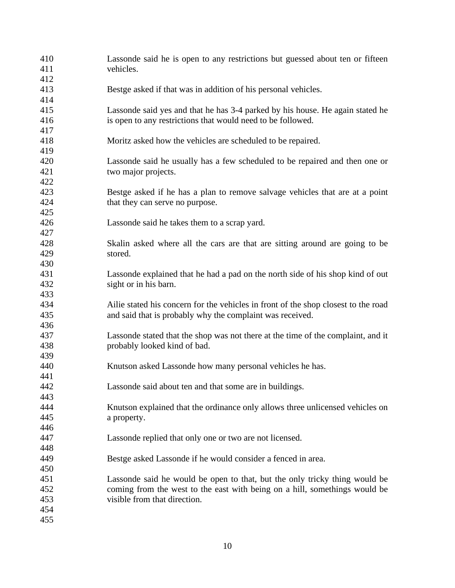| 410<br>411<br>412        | Lassonde said he is open to any restrictions but guessed about ten or fifteen<br>vehicles.                                                                                               |
|--------------------------|------------------------------------------------------------------------------------------------------------------------------------------------------------------------------------------|
| 413<br>414               | Bestge asked if that was in addition of his personal vehicles.                                                                                                                           |
| 415<br>416               | Lassonde said yes and that he has 3-4 parked by his house. He again stated he<br>is open to any restrictions that would need to be followed.                                             |
| 417<br>418<br>419        | Moritz asked how the vehicles are scheduled to be repaired.                                                                                                                              |
| 420<br>421               | Lassonde said he usually has a few scheduled to be repaired and then one or<br>two major projects.                                                                                       |
| 422<br>423<br>424        | Bestge asked if he has a plan to remove salvage vehicles that are at a point<br>that they can serve no purpose.                                                                          |
| 425<br>426<br>427        | Lassonde said he takes them to a scrap yard.                                                                                                                                             |
| 428<br>429               | Skalin asked where all the cars are that are sitting around are going to be<br>stored.                                                                                                   |
| 430<br>431<br>432        | Lassonde explained that he had a pad on the north side of his shop kind of out<br>sight or in his barn.                                                                                  |
| 433<br>434<br>435        | Ailie stated his concern for the vehicles in front of the shop closest to the road<br>and said that is probably why the complaint was received.                                          |
| 436<br>437<br>438<br>439 | Lassonde stated that the shop was not there at the time of the complaint, and it<br>probably looked kind of bad.                                                                         |
| 440<br>441               | Knutson asked Lassonde how many personal vehicles he has.                                                                                                                                |
| 442<br>443               | Lassonde said about ten and that some are in buildings.                                                                                                                                  |
| 444<br>445<br>446        | Knutson explained that the ordinance only allows three unlicensed vehicles on<br>a property.                                                                                             |
| 447<br>448               | Lassonde replied that only one or two are not licensed.                                                                                                                                  |
| 449<br>450               | Bestge asked Lassonde if he would consider a fenced in area.                                                                                                                             |
| 451<br>452<br>453<br>454 | Lassonde said he would be open to that, but the only tricky thing would be<br>coming from the west to the east with being on a hill, somethings would be<br>visible from that direction. |
| 455                      |                                                                                                                                                                                          |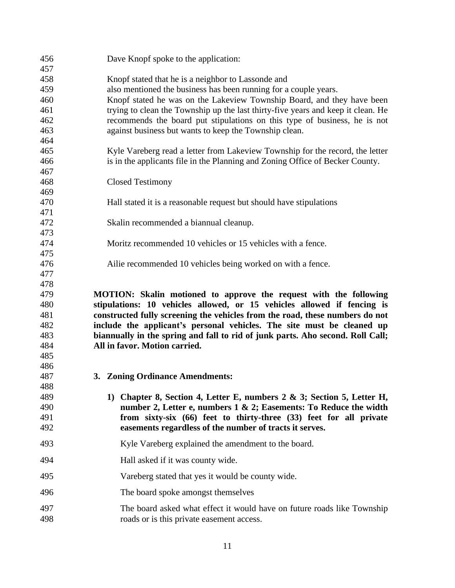| 456        | Dave Knopf spoke to the application:                                                                                 |  |  |
|------------|----------------------------------------------------------------------------------------------------------------------|--|--|
| 457        |                                                                                                                      |  |  |
| 458        | Knopf stated that he is a neighbor to Lassonde and                                                                   |  |  |
| 459        | also mentioned the business has been running for a couple years.                                                     |  |  |
| 460        | Knopf stated he was on the Lakeview Township Board, and they have been                                               |  |  |
| 461        | trying to clean the Township up the last thirty-five years and keep it clean. He                                     |  |  |
| 462        | recommends the board put stipulations on this type of business, he is not                                            |  |  |
| 463        | against business but wants to keep the Township clean.                                                               |  |  |
| 464        |                                                                                                                      |  |  |
| 465        | Kyle Vareberg read a letter from Lakeview Township for the record, the letter                                        |  |  |
| 466        | is in the applicants file in the Planning and Zoning Office of Becker County.                                        |  |  |
| 467        |                                                                                                                      |  |  |
| 468        | <b>Closed Testimony</b>                                                                                              |  |  |
| 469        |                                                                                                                      |  |  |
| 470        | Hall stated it is a reasonable request but should have stipulations                                                  |  |  |
| 471<br>472 | Skalin recommended a biannual cleanup.                                                                               |  |  |
| 473        |                                                                                                                      |  |  |
| 474        | Moritz recommended 10 vehicles or 15 vehicles with a fence.                                                          |  |  |
| 475        |                                                                                                                      |  |  |
| 476        | Ailie recommended 10 vehicles being worked on with a fence.                                                          |  |  |
| 477        |                                                                                                                      |  |  |
| 478        |                                                                                                                      |  |  |
| 479        | MOTION: Skalin motioned to approve the request with the following                                                    |  |  |
| 480        | stipulations: 10 vehicles allowed, or 15 vehicles allowed if fencing is                                              |  |  |
| 481        | constructed fully screening the vehicles from the road, these numbers do not                                         |  |  |
| 482        | include the applicant's personal vehicles. The site must be cleaned up                                               |  |  |
| 483        | biannually in the spring and fall to rid of junk parts. Aho second. Roll Call;                                       |  |  |
| 484        | All in favor. Motion carried.                                                                                        |  |  |
| 485        |                                                                                                                      |  |  |
|            |                                                                                                                      |  |  |
| 486        |                                                                                                                      |  |  |
| 487        | 3. Zoning Ordinance Amendments:                                                                                      |  |  |
| 488        |                                                                                                                      |  |  |
| 489        | 1) Chapter 8, Section 4, Letter E, numbers $2 \& 3$ ; Section 5, Letter H,                                           |  |  |
| 490        | number 2, Letter e, numbers 1 & 2; Easements: To Reduce the width                                                    |  |  |
| 491        | from sixty-six (66) feet to thirty-three (33) feet for all private                                                   |  |  |
| 492        | easements regardless of the number of tracts it serves.                                                              |  |  |
| 493        | Kyle Vareberg explained the amendment to the board.                                                                  |  |  |
| 494        | Hall asked if it was county wide.                                                                                    |  |  |
| 495        | Vareberg stated that yes it would be county wide.                                                                    |  |  |
| 496        | The board spoke amongst themselves                                                                                   |  |  |
| 497<br>498 | The board asked what effect it would have on future roads like Township<br>roads or is this private easement access. |  |  |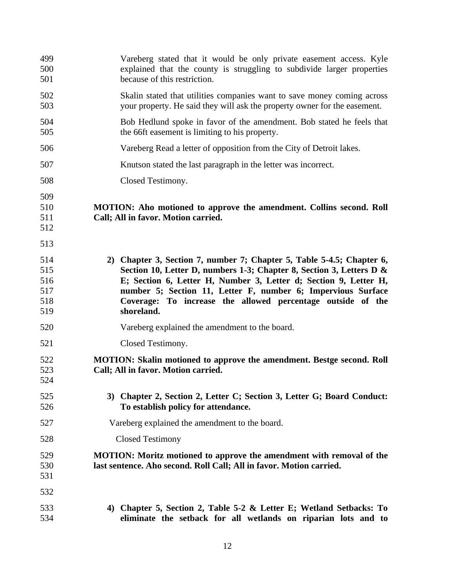| 499<br>500<br>501                      | Vareberg stated that it would be only private easement access. Kyle<br>explained that the county is struggling to subdivide larger properties<br>because of this restriction.                                                                                                                                                                                  |  |
|----------------------------------------|----------------------------------------------------------------------------------------------------------------------------------------------------------------------------------------------------------------------------------------------------------------------------------------------------------------------------------------------------------------|--|
| 502<br>503                             | Skalin stated that utilities companies want to save money coming across<br>your property. He said they will ask the property owner for the easement.                                                                                                                                                                                                           |  |
| 504<br>505                             | Bob Hedlund spoke in favor of the amendment. Bob stated he feels that<br>the 66ft easement is limiting to his property.                                                                                                                                                                                                                                        |  |
| 506                                    | Vareberg Read a letter of opposition from the City of Detroit lakes.                                                                                                                                                                                                                                                                                           |  |
| 507                                    | Knutson stated the last paragraph in the letter was incorrect.                                                                                                                                                                                                                                                                                                 |  |
| 508                                    | Closed Testimony.                                                                                                                                                                                                                                                                                                                                              |  |
| 509<br>510<br>511<br>512               | MOTION: Aho motioned to approve the amendment. Collins second. Roll<br>Call; All in favor. Motion carried.                                                                                                                                                                                                                                                     |  |
| 513                                    |                                                                                                                                                                                                                                                                                                                                                                |  |
| 514<br>515<br>516<br>517<br>518<br>519 | 2) Chapter 3, Section 7, number 7; Chapter 5, Table 5-4.5; Chapter 6,<br>Section 10, Letter D, numbers 1-3; Chapter 8, Section 3, Letters D &<br>E; Section 6, Letter H, Number 3, Letter d; Section 9, Letter H,<br>number 5; Section 11, Letter F, number 6; Impervious Surface<br>Coverage: To increase the allowed percentage outside of the<br>shoreland. |  |
| 520                                    | Vareberg explained the amendment to the board.                                                                                                                                                                                                                                                                                                                 |  |
| 521                                    | Closed Testimony.                                                                                                                                                                                                                                                                                                                                              |  |
| 522<br>523<br>524                      | <b>MOTION: Skalin motioned to approve the amendment. Bestge second. Roll</b><br>Call; All in favor. Motion carried.                                                                                                                                                                                                                                            |  |
| 525<br>526                             | 3) Chapter 2, Section 2, Letter C; Section 3, Letter G; Board Conduct:<br>To establish policy for attendance.                                                                                                                                                                                                                                                  |  |
| 527                                    | Vareberg explained the amendment to the board.                                                                                                                                                                                                                                                                                                                 |  |
| 528                                    | <b>Closed Testimony</b>                                                                                                                                                                                                                                                                                                                                        |  |
| 529<br>530<br>531                      | <b>MOTION:</b> Moritz motioned to approve the amendment with removal of the<br>last sentence. Aho second. Roll Call; All in favor. Motion carried.                                                                                                                                                                                                             |  |
| 532                                    |                                                                                                                                                                                                                                                                                                                                                                |  |
| 533<br>534                             | 4) Chapter 5, Section 2, Table 5-2 & Letter E; Wetland Setbacks: To<br>eliminate the setback for all wetlands on riparian lots and to                                                                                                                                                                                                                          |  |